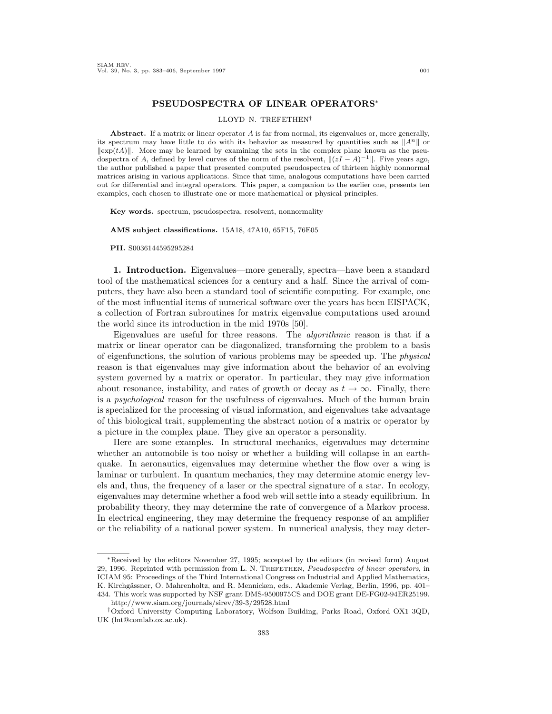## **PSEUDOSPECTRA OF LINEAR OPERATORS***<sup>∗</sup>*

LLOYD N. TREFETHEN*†*

**Abstract.** If a matrix or linear operator A is far from normal, its eigenvalues or, more generally, its spectrum may have little to do with its behavior as measured by quantities such as  $||A^n||$  or  $\|\exp(tA)\|$ . More may be learned by examining the sets in the complex plane known as the pseudospectra of A, defined by level curves of the norm of the resolvent,  $\|(zI - A)^{-1}\|$ . Five years ago, the author published a paper that presented computed pseudospectra of thirteen highly nonnormal matrices arising in various applications. Since that time, analogous computations have been carried out for differential and integral operators. This paper, a companion to the earlier one, presents ten examples, each chosen to illustrate one or more mathematical or physical principles.

**Key words.** spectrum, pseudospectra, resolvent, nonnormality

**AMS subject classifications.** 15A18, 47A10, 65F15, 76E05

**PII.** S0036144595295284

**1. Introduction.** Eigenvalues—more generally, spectra—have been a standard tool of the mathematical sciences for a century and a half. Since the arrival of computers, they have also been a standard tool of scientific computing. For example, one of the most influential items of numerical software over the years has been EISPACK, a collection of Fortran subroutines for matrix eigenvalue computations used around the world since its introduction in the mid 1970s [50].

Eigenvalues are useful for three reasons. The algorithmic reason is that if a matrix or linear operator can be diagonalized, transforming the problem to a basis of eigenfunctions, the solution of various problems may be speeded up. The physical reason is that eigenvalues may give information about the behavior of an evolving system governed by a matrix or operator. In particular, they may give information about resonance, instability, and rates of growth or decay as  $t \to \infty$ . Finally, there is a psychological reason for the usefulness of eigenvalues. Much of the human brain is specialized for the processing of visual information, and eigenvalues take advantage of this biological trait, supplementing the abstract notion of a matrix or operator by a picture in the complex plane. They give an operator a personality.

Here are some examples. In structural mechanics, eigenvalues may determine whether an automobile is too noisy or whether a building will collapse in an earthquake. In aeronautics, eigenvalues may determine whether the flow over a wing is laminar or turbulent. In quantum mechanics, they may determine atomic energy levels and, thus, the frequency of a laser or the spectral signature of a star. In ecology, eigenvalues may determine whether a food web will settle into a steady equilibrium. In probability theory, they may determine the rate of convergence of a Markov process. In electrical engineering, they may determine the frequency response of an amplifier or the reliability of a national power system. In numerical analysis, they may deter-

*<sup>∗</sup>*Received by the editors November 27, 1995; accepted by the editors (in revised form) August 29, 1996. Reprinted with permission from L. N. TREFETHEN, Pseudospectra of linear operators, in ICIAM 95: Proceedings of the Third International Congress on Industrial and Applied Mathematics, K. Kirchgässner, O. Mahrenholtz, and R. Mennicken, eds., Akademie Verlag, Berlin, 1996, pp. 401– 434. This work was supported by NSF grant DMS-9500975CS and DOE grant DE-FG02-94ER25199.

http://www.siam.org/journals/sirev/39-3/29528.html

*<sup>†</sup>*Oxford University Computing Laboratory, Wolfson Building, Parks Road, Oxford OX1 3QD, UK (lnt@comlab.ox.ac.uk).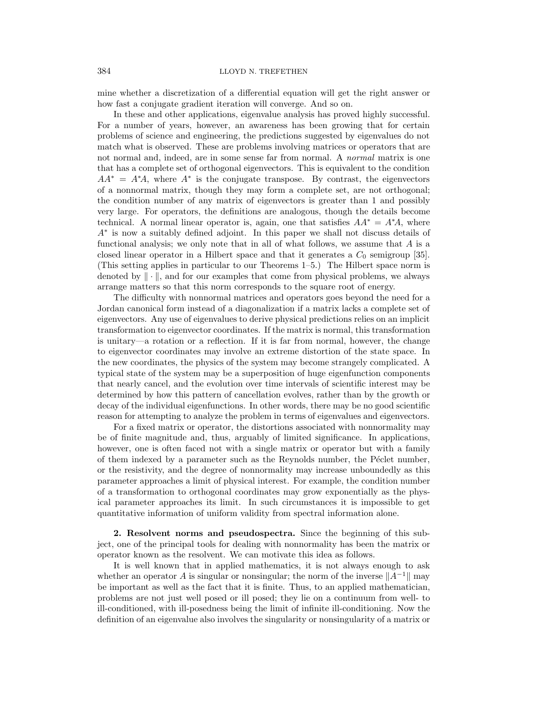mine whether a discretization of a differential equation will get the right answer or how fast a conjugate gradient iteration will converge. And so on.

In these and other applications, eigenvalue analysis has proved highly successful. For a number of years, however, an awareness has been growing that for certain problems of science and engineering, the predictions suggested by eigenvalues do not match what is observed. These are problems involving matrices or operators that are not normal and, indeed, are in some sense far from normal. A normal matrix is one that has a complete set of orthogonal eigenvectors. This is equivalent to the condition AA*<sup>∗</sup>* = A*<sup>∗</sup>* A, where A*<sup>∗</sup>* is the conjugate transpose. By contrast, the eigenvectors of a nonnormal matrix, though they may form a complete set, are not orthogonal; the condition number of any matrix of eigenvectors is greater than 1 and possibly very large. For operators, the definitions are analogous, though the details become technical. A normal linear operator is, again, one that satisfies  $AA^* = A^*A$ , where A*<sup>∗</sup>* is now a suitably defined adjoint. In this paper we shall not discuss details of functional analysis; we only note that in all of what follows, we assume that  $A$  is a closed linear operator in a Hilbert space and that it generates a  $C_0$  semigroup [35]. (This setting applies in particular to our Theorems 1–5.) The Hilbert space norm is denoted by  $\|\cdot\|$ , and for our examples that come from physical problems, we always arrange matters so that this norm corresponds to the square root of energy.

The difficulty with nonnormal matrices and operators goes beyond the need for a Jordan canonical form instead of a diagonalization if a matrix lacks a complete set of eigenvectors. Any use of eigenvalues to derive physical predictions relies on an implicit transformation to eigenvector coordinates. If the matrix is normal, this transformation is unitary—a rotation or a reflection. If it is far from normal, however, the change to eigenvector coordinates may involve an extreme distortion of the state space. In the new coordinates, the physics of the system may become strangely complicated. A typical state of the system may be a superposition of huge eigenfunction components that nearly cancel, and the evolution over time intervals of scientific interest may be determined by how this pattern of cancellation evolves, rather than by the growth or decay of the individual eigenfunctions. In other words, there may be no good scientific reason for attempting to analyze the problem in terms of eigenvalues and eigenvectors.

For a fixed matrix or operator, the distortions associated with nonnormality may be of finite magnitude and, thus, arguably of limited significance. In applications, however, one is often faced not with a single matrix or operator but with a family of them indexed by a parameter such as the Reynolds number, the Péclet number, or the resistivity, and the degree of nonnormality may increase unboundedly as this parameter approaches a limit of physical interest. For example, the condition number of a transformation to orthogonal coordinates may grow exponentially as the physical parameter approaches its limit. In such circumstances it is impossible to get quantitative information of uniform validity from spectral information alone.

**2. Resolvent norms and pseudospectra.** Since the beginning of this subject, one of the principal tools for dealing with nonnormality has been the matrix or operator known as the resolvent. We can motivate this idea as follows.

It is well known that in applied mathematics, it is not always enough to ask whether an operator A is singular or nonsingular; the norm of the inverse  $||A^{-1}||$  may be important as well as the fact that it is finite. Thus, to an applied mathematician, problems are not just well posed or ill posed; they lie on a continuum from well- to ill-conditioned, with ill-posedness being the limit of infinite ill-conditioning. Now the definition of an eigenvalue also involves the singularity or nonsingularity of a matrix or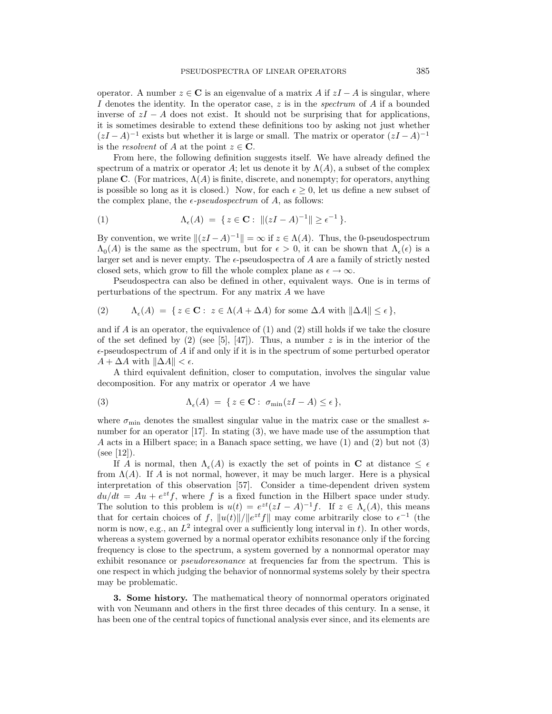operator. A number  $z \in \mathbb{C}$  is an eigenvalue of a matrix A if  $zI - A$  is singular, where I denotes the identity. In the operator case, z is in the *spectrum* of A if a bounded inverse of zI *−* A does not exist. It should not be surprising that for applications, it is sometimes desirable to extend these definitions too by asking not just whether  $(zI - A)^{-1}$  exists but whether it is large or small. The matrix or operator  $(zI - A)^{-1}$ is the *resolvent* of A at the point  $z \in \mathbb{C}$ .

From here, the following definition suggests itself. We have already defined the spectrum of a matrix or operator A; let us denote it by  $\Lambda(A)$ , a subset of the complex plane **C**. (For matrices,  $\Lambda(A)$  is finite, discrete, and nonempty; for operators, anything is possible so long as it is closed.) Now, for each  $\epsilon > 0$ , let us define a new subset of the complex plane, the  $\epsilon$ -pseudospectrum of A, as follows:

(1) 
$$
\Lambda_{\epsilon}(A) = \{ z \in \mathbf{C} : ||(zI - A)^{-1}|| \geq \epsilon^{-1} \}.
$$

By convention, we write  $||(zI - A)^{-1}|| = \infty$  if  $z \in \Lambda(A)$ . Thus, the 0-pseudospectrum  $\Lambda_0(A)$  is the same as the spectrum, but for  $\epsilon > 0$ , it can be shown that  $\Lambda_{\epsilon}(\epsilon)$  is a larger set and is never empty. The  $\epsilon$ -pseudospectra of A are a family of strictly nested closed sets, which grow to fill the whole complex plane as  $\epsilon \to \infty$ .

Pseudospectra can also be defined in other, equivalent ways. One is in terms of perturbations of the spectrum. For any matrix A we have

(2) 
$$
\Lambda_{\epsilon}(A) = \{ z \in \mathbf{C} : z \in \Lambda(A + \Delta A) \text{ for some } \Delta A \text{ with } \|\Delta A\| \leq \epsilon \},
$$

and if  $A$  is an operator, the equivalence of  $(1)$  and  $(2)$  still holds if we take the closure of the set defined by (2) (see [5], [47]). Thus, a number z is in the interior of the  $\epsilon$ -pseudospectrum of A if and only if it is in the spectrum of some perturbed operator  $A + \Delta A$  with  $\|\Delta A\| < \epsilon$ .

A third equivalent definition, closer to computation, involves the singular value decomposition. For any matrix or operator A we have

(3) 
$$
\Lambda_{\epsilon}(A) = \{ z \in \mathbf{C} : \sigma_{\min}(zI - A) \leq \epsilon \},
$$

where  $\sigma_{\text{min}}$  denotes the smallest singular value in the matrix case or the smallest snumber for an operator [17]. In stating (3), we have made use of the assumption that A acts in a Hilbert space; in a Banach space setting, we have  $(1)$  and  $(2)$  but not  $(3)$  $(see [12]).$ 

If A is normal, then  $\Lambda_{\epsilon}(A)$  is exactly the set of points in **C** at distance  $\leq \epsilon$ from  $\Lambda(A)$ . If A is not normal, however, it may be much larger. Here is a physical interpretation of this observation [57]. Consider a time-dependent driven system  $du/dt = Au + e^{zt}f$ , where f is a fixed function in the Hilbert space under study. The solution to this problem is  $u(t) = e^{zt}(zI - A)^{-1}f$ . If  $z \in \Lambda_{\epsilon}(A)$ , this means that for certain choices of f,  $||u(t)||/||e^{zt}f||$  may come arbitrarily close to  $\epsilon^{-1}$  (the norm is now, e.g., an  $L^2$  integral over a sufficiently long interval in t). In other words, whereas a system governed by a normal operator exhibits resonance only if the forcing frequency is close to the spectrum, a system governed by a nonnormal operator may exhibit resonance or *pseudoresonance* at frequencies far from the spectrum. This is one respect in which judging the behavior of nonnormal systems solely by their spectra may be problematic.

**3. Some history.** The mathematical theory of nonnormal operators originated with von Neumann and others in the first three decades of this century. In a sense, it has been one of the central topics of functional analysis ever since, and its elements are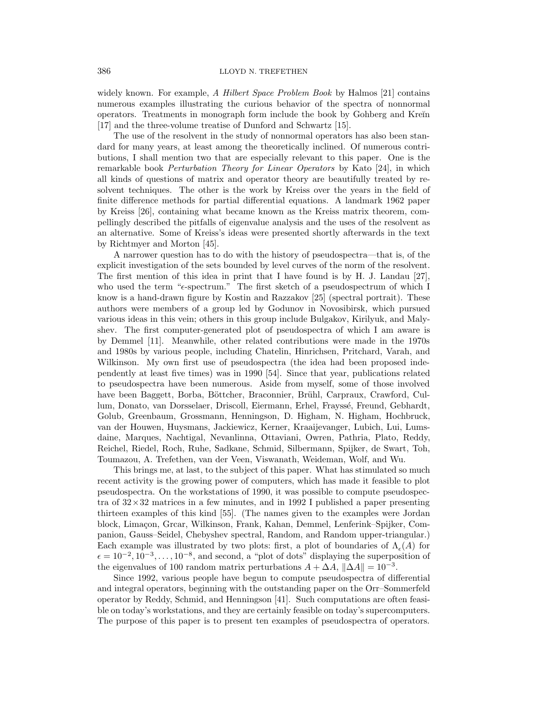widely known. For example, A Hilbert Space Problem Book by Halmos [21] contains numerous examples illustrating the curious behavior of the spectra of nonnormal operators. Treatments in monograph form include the book by Gohberg and Kreĭn [17] and the three-volume treatise of Dunford and Schwartz [15].

The use of the resolvent in the study of nonnormal operators has also been standard for many years, at least among the theoretically inclined. Of numerous contributions, I shall mention two that are especially relevant to this paper. One is the remarkable book Perturbation Theory for Linear Operators by Kato [24], in which all kinds of questions of matrix and operator theory are beautifully treated by resolvent techniques. The other is the work by Kreiss over the years in the field of finite difference methods for partial differential equations. A landmark 1962 paper by Kreiss [26], containing what became known as the Kreiss matrix theorem, compellingly described the pitfalls of eigenvalue analysis and the uses of the resolvent as an alternative. Some of Kreiss's ideas were presented shortly afterwards in the text by Richtmyer and Morton [45].

A narrower question has to do with the history of pseudospectra—that is, of the explicit investigation of the sets bounded by level curves of the norm of the resolvent. The first mention of this idea in print that I have found is by H. J. Landau [27], who used the term " $\epsilon$ -spectrum." The first sketch of a pseudospectrum of which I know is a hand-drawn figure by Kostin and Razzakov [25] (spectral portrait). These authors were members of a group led by Godunov in Novosibirsk, which pursued various ideas in this vein; others in this group include Bulgakov, Kirilyuk, and Malyshev. The first computer-generated plot of pseudospectra of which I am aware is by Demmel [11]. Meanwhile, other related contributions were made in the 1970s and 1980s by various people, including Chatelin, Hinrichsen, Pritchard, Varah, and Wilkinson. My own first use of pseudospectra (the idea had been proposed independently at least five times) was in 1990 [54]. Since that year, publications related to pseudospectra have been numerous. Aside from myself, some of those involved have been Baggett, Borba, Böttcher, Braconnier, Brühl, Carpraux, Crawford, Cullum, Donato, van Dorsselaer, Driscoll, Eiermann, Erhel, Frayss´e, Freund, Gebhardt, Golub, Greenbaum, Grossmann, Henningson, D. Higham, N. Higham, Hochbruck, van der Houwen, Huysmans, Jackiewicz, Kerner, Kraaijevanger, Lubich, Lui, Lumsdaine, Marques, Nachtigal, Nevanlinna, Ottaviani, Owren, Pathria, Plato, Reddy, Reichel, Riedel, Roch, Ruhe, Sadkane, Schmid, Silbermann, Spijker, de Swart, Toh, Toumazou, A. Trefethen, van der Veen, Viswanath, Weideman, Wolf, and Wu.

This brings me, at last, to the subject of this paper. What has stimulated so much recent activity is the growing power of computers, which has made it feasible to plot pseudospectra. On the workstations of 1990, it was possible to compute pseudospectra of 32*×*32 matrices in a few minutes, and in 1992 I published a paper presenting thirteen examples of this kind [55]. (The names given to the examples were Jordan block, Lima¸con, Grcar, Wilkinson, Frank, Kahan, Demmel, Lenferink–Spijker, Companion, Gauss–Seidel, Chebyshev spectral, Random, and Random upper-triangular.) Each example was illustrated by two plots: first, a plot of boundaries of  $\Lambda_{\epsilon}(A)$  for  $\epsilon = 10^{-2}, 10^{-3}, \ldots, 10^{-8}$ , and second, a "plot of dots" displaying the superposition of the eigenvalues of 100 random matrix perturbations  $A + \Delta A$ ,  $\|\Delta A\| = 10^{-3}$ .

Since 1992, various people have begun to compute pseudospectra of differential and integral operators, beginning with the outstanding paper on the Orr–Sommerfeld operator by Reddy, Schmid, and Henningson [41]. Such computations are often feasible on today's workstations, and they are certainly feasible on today's supercomputers. The purpose of this paper is to present ten examples of pseudospectra of operators.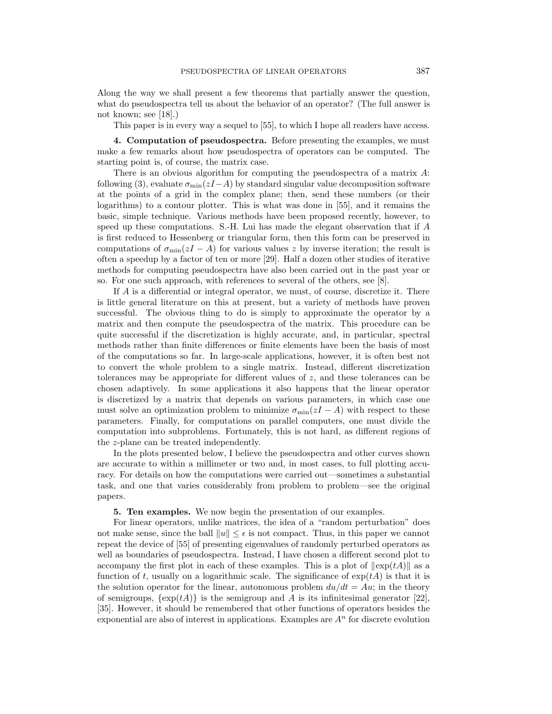Along the way we shall present a few theorems that partially answer the question, what do pseudospectra tell us about the behavior of an operator? (The full answer is not known; see [18].)

This paper is in every way a sequel to [55], to which I hope all readers have access.

**4. Computation of pseudospectra.** Before presenting the examples, we must make a few remarks about how pseudospectra of operators can be computed. The starting point is, of course, the matrix case.

There is an obvious algorithm for computing the pseudospectra of a matrix A: following (3), evaluate  $\sigma_{\min}(zI-A)$  by standard singular value decomposition software at the points of a grid in the complex plane; then, send these numbers (or their logarithms) to a contour plotter. This is what was done in [55], and it remains the basic, simple technique. Various methods have been proposed recently, however, to speed up these computations. S.-H. Lui has made the elegant observation that if  $A$ is first reduced to Hessenberg or triangular form, then this form can be preserved in computations of  $\sigma_{\min}(zI - A)$  for various values z by inverse iteration; the result is often a speedup by a factor of ten or more [29]. Half a dozen other studies of iterative methods for computing pseudospectra have also been carried out in the past year or so. For one such approach, with references to several of the others, see [8].

If  $A$  is a differential or integral operator, we must, of course, discretize it. There is little general literature on this at present, but a variety of methods have proven successful. The obvious thing to do is simply to approximate the operator by a matrix and then compute the pseudospectra of the matrix. This procedure can be quite successful if the discretization is highly accurate, and, in particular, spectral methods rather than finite differences or finite elements have been the basis of most of the computations so far. In large-scale applications, however, it is often best not to convert the whole problem to a single matrix. Instead, different discretization tolerances may be appropriate for different values of  $z$ , and these tolerances can be chosen adaptively. In some applications it also happens that the linear operator is discretized by a matrix that depends on various parameters, in which case one must solve an optimization problem to minimize  $\sigma_{\min}(zI - A)$  with respect to these parameters. Finally, for computations on parallel computers, one must divide the computation into subproblems. Fortunately, this is not hard, as different regions of the z-plane can be treated independently.

In the plots presented below, I believe the pseudospectra and other curves shown are accurate to within a millimeter or two and, in most cases, to full plotting accuracy. For details on how the computations were carried out—sometimes a substantial task, and one that varies considerably from problem to problem—see the original papers.

**5. Ten examples.** We now begin the presentation of our examples.

For linear operators, unlike matrices, the idea of a "random perturbation" does not make sense, since the ball  $\|u\| \leq \epsilon$  is not compact. Thus, in this paper we cannot repeat the device of [55] of presenting eigenvalues of randomly perturbed operators as well as boundaries of pseudospectra. Instead, I have chosen a different second plot to accompany the first plot in each of these examples. This is a plot of  $\|\exp(tA)\|$  as a function of t, usually on a logarithmic scale. The significance of  $exp(tA)$  is that it is the solution operator for the linear, autonomous problem  $du/dt = Au$ ; in the theory of semigroups,  $\{\exp(tA)\}\$ is the semigroup and A is its infinitesimal generator [22], [35]. However, it should be remembered that other functions of operators besides the exponential are also of interest in applications. Examples are  $A<sup>n</sup>$  for discrete evolution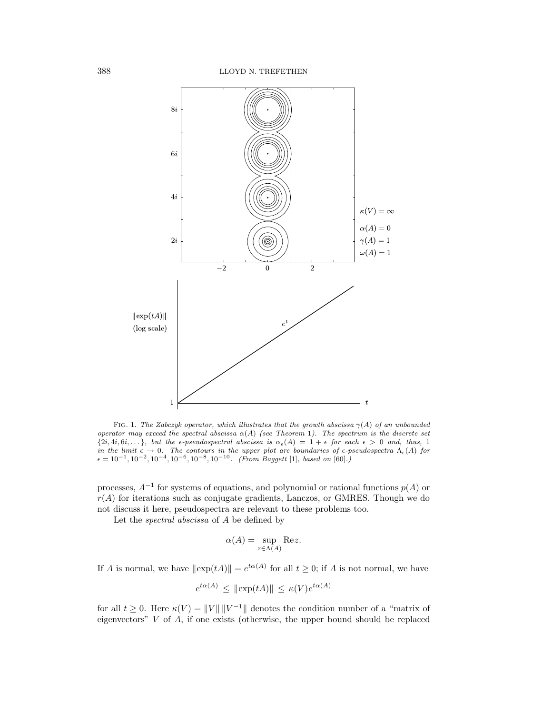

FIG. 1. The Zabczyk operator, which illustrates that the growth abscissa  $\gamma(A)$  of an unbounded operator may exceed the spectral abscissa  $\alpha(A)$  (see Theorem 1). The spectrum is the discrete set  $\{2i, 4i, 6i, ...\}$ , but the e-pseudospectral abscissa is  $\alpha_{\epsilon}(A) = 1 + \epsilon$  for each  $\epsilon > 0$  and, thus, 1 in the limit  $\epsilon \to 0$ . The contours in the upper plot are boundaries of  $\epsilon$ -pseudospectra  $\Lambda_{\epsilon}(A)$  for  $\epsilon = 10^{-1}, 10^{-2}, 10^{-4}, 10^{-6}, 10^{-8}, 10^{-10}$ . (From Baggett [1], based on [60].)

processes,  $A^{-1}$  for systems of equations, and polynomial or rational functions  $p(A)$  or  $r(A)$  for iterations such as conjugate gradients, Lanczos, or GMRES. Though we do not discuss it here, pseudospectra are relevant to these problems too.

Let the spectral abscissa of A be defined by

$$
\alpha(A) = \sup_{z \in \Lambda(A)} \text{Re} z.
$$

If A is normal, we have  $\|\exp(tA)\| = e^{t\alpha(A)}$  for all  $t \geq 0$ ; if A is not normal, we have

$$
e^{t\alpha(A)} \le ||\exp(tA)|| \le \kappa(V)e^{t\alpha(A)}
$$

for all  $t \geq 0$ . Here  $\kappa(V) = ||V|| ||V^{-1}||$  denotes the condition number of a "matrix of eigenvectors" V of A, if one exists (otherwise, the upper bound should be replaced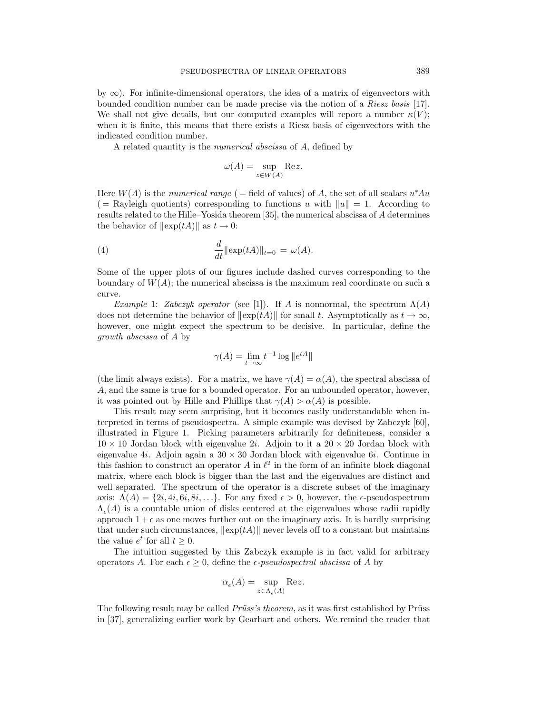by *∞*). For infinite-dimensional operators, the idea of a matrix of eigenvectors with bounded condition number can be made precise via the notion of a Riesz basis [17]. We shall not give details, but our computed examples will report a number  $\kappa(V)$ ; when it is finite, this means that there exists a Riesz basis of eigenvectors with the indicated condition number.

A related quantity is the numerical abscissa of A, defined by

$$
\omega(A)=\sup_{z\in W(A)}{\rm Re}z.
$$

Here  $W(A)$  is the *numerical range* (= field of values) of A, the set of all scalars  $u^*Au$ ( $=$  Rayleigh quotients) corresponding to functions u with  $||u|| = 1$ . According to results related to the Hille–Yosida theorem [35], the numerical abscissa of A determines the behavior of  $\|\exp(tA)\|$  as  $t \to 0$ :

(4) 
$$
\frac{d}{dt} \|\exp(tA)\|_{t=0} = \omega(A).
$$

Some of the upper plots of our figures include dashed curves corresponding to the boundary of  $W(A)$ ; the numerical abscissa is the maximum real coordinate on such a curve.

Example 1: Zabczyk operator (see [1]). If A is nonnormal, the spectrum  $\Lambda(A)$ does not determine the behavior of  $\Vert \exp(tA) \Vert$  for small t. Asymptotically as  $t \to \infty$ , however, one might expect the spectrum to be decisive. In particular, define the growth abscissa of A by

$$
\gamma(A) = \lim_{t \to \infty} t^{-1} \log \|e^{tA}\|
$$

(the limit always exists). For a matrix, we have  $\gamma(A) = \alpha(A)$ , the spectral abscissa of A, and the same is true for a bounded operator. For an unbounded operator, however, it was pointed out by Hille and Phillips that  $\gamma(A) > \alpha(A)$  is possible.

This result may seem surprising, but it becomes easily understandable when interpreted in terms of pseudospectra. A simple example was devised by Zabczyk [60], illustrated in Figure 1. Picking parameters arbitrarily for definiteness, consider a  $10 \times 10$  Jordan block with eigenvalue 2*i*. Adjoin to it a  $20 \times 20$  Jordan block with eigenvalue 4i. Adjoin again a 30 *×* 30 Jordan block with eigenvalue 6i. Continue in this fashion to construct an operator A in  $\ell^2$  in the form of an infinite block diagonal matrix, where each block is bigger than the last and the eigenvalues are distinct and well separated. The spectrum of the operator is a discrete subset of the imaginary axis:  $\Lambda(A) = \{2i, 4i, 6i, 8i, \ldots\}$ . For any fixed  $\epsilon > 0$ , however, the  $\epsilon$ -pseudospectrum  $\Lambda_{\epsilon}(A)$  is a countable union of disks centered at the eigenvalues whose radii rapidly approach  $1+\epsilon$  as one moves further out on the imaginary axis. It is hardly surprising that under such circumstances,  $\|\exp(tA)\|$  never levels off to a constant but maintains the value  $e^t$  for all  $t \geq 0$ .

The intuition suggested by this Zabczyk example is in fact valid for arbitrary operators A. For each  $\epsilon \geq 0$ , define the  $\epsilon$ -pseudospectral abscissa of A by

$$
\alpha_{\epsilon}(A) = \sup_{z \in \Lambda_{\epsilon}(A)} \text{Re} z.
$$

The following result may be called *Prüss's theorem*, as it was first established by Prüss in [37], generalizing earlier work by Gearhart and others. We remind the reader that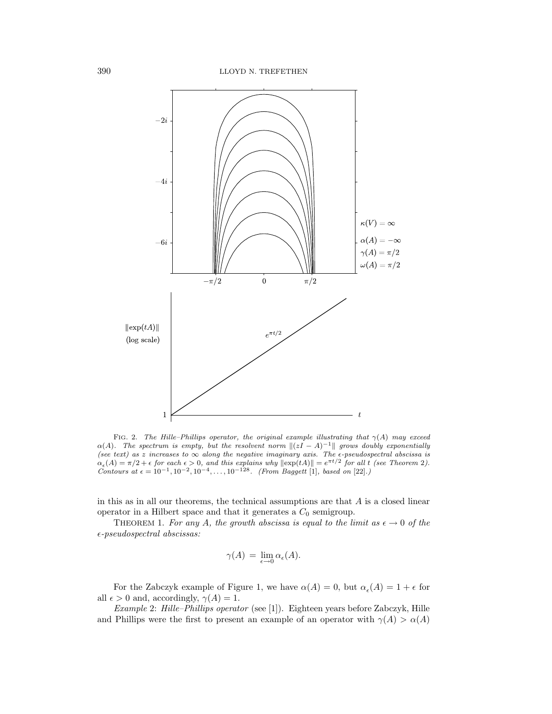

FIG. 2. The Hille–Phillips operator, the original example illustrating that  $\gamma(A)$  may exceed  $\alpha(A)$ . The spectrum is empty, but the resolvent norm  $\|(zI - A)^{-1}\|$  grows doubly exponentially (see text) as z increases to  $\infty$  along the negative imaginary axis. The  $\epsilon$ -pseudospectral abscissa is  $\alpha_{\epsilon}(A) = \pi/2 + \epsilon$  for each  $\epsilon > 0$ , and this explains why  $\|\exp(tA)\| = e^{\pi t/2}$  for all t (see Theorem 2).<br>Contours at  $\epsilon = 10^{-1}, 10^{-2}, 10^{-4}, \ldots, 10^{-128}$ . (From Baggett [1], based on [22].)

in this as in all our theorems, the technical assumptions are that  $A$  is a closed linear operator in a Hilbert space and that it generates a  $C_0$  semigroup.

THEOREM 1. For any A, the growth abscissa is equal to the limit as  $\epsilon \to 0$  of the  $\epsilon$ -pseudospectral abscissas:

$$
\gamma(A) = \lim_{\epsilon \to 0} \alpha_{\epsilon}(A).
$$

For the Zabczyk example of Figure 1, we have  $\alpha(A) = 0$ , but  $\alpha_{\epsilon}(A) = 1 + \epsilon$  for all  $\epsilon > 0$  and, accordingly,  $\gamma(A) = 1$ .

Example 2: Hille–Phillips operator (see [1]). Eighteen years before Zabczyk, Hille and Phillips were the first to present an example of an operator with  $\gamma(A) > \alpha(A)$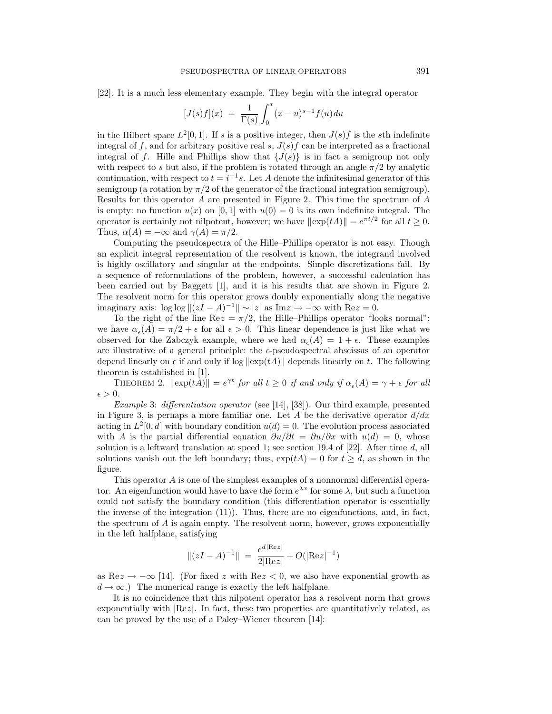[22]. It is a much less elementary example. They begin with the integral operator

$$
[J(s)f](x) = \frac{1}{\Gamma(s)} \int_0^x (x - u)^{s-1} f(u) du
$$

in the Hilbert space  $L^2[0, 1]$ . If s is a positive integer, then  $J(s)f$  is the sth indefinite integral of f, and for arbitrary positive real s,  $J(s)f$  can be interpreted as a fractional integral of f. Hille and Phillips show that  $\{J(s)\}\$ is in fact a semigroup not only with respect to s but also, if the problem is rotated through an angle  $\pi/2$  by analytic continuation, with respect to  $t = i^{-1}s$ . Let A denote the infinitesimal generator of this semigroup (a rotation by  $\pi/2$  of the generator of the fractional integration semigroup). Results for this operator A are presented in Figure 2. This time the spectrum of  $A$ is empty: no function  $u(x)$  on [0,1] with  $u(0) = 0$  is its own indefinite integral. The operator is certainly not nilpotent, however; we have  $\|\exp(tA)\| = e^{\pi t/2}$  for all  $t \geq 0$ . Thus,  $\alpha(A) = -\infty$  and  $\gamma(A) = \pi/2$ .

Computing the pseudospectra of the Hille–Phillips operator is not easy. Though an explicit integral representation of the resolvent is known, the integrand involved is highly oscillatory and singular at the endpoints. Simple discretizations fail. By a sequence of reformulations of the problem, however, a successful calculation has been carried out by Baggett [1], and it is his results that are shown in Figure 2. The resolvent norm for this operator grows doubly exponentially along the negative imaginary axis:  $\log \log ||(zI - A)^{-1}|| \sim |z|$  as Im $z \to -\infty$  with Re $z = 0$ .

To the right of the line  $\text{Re}z = \pi/2$ , the Hille–Phillips operator "looks normal": we have  $\alpha_{\epsilon}(A) = \pi/2 + \epsilon$  for all  $\epsilon > 0$ . This linear dependence is just like what we observed for the Zabczyk example, where we had  $\alpha_{\epsilon}(A)=1+\epsilon$ . These examples are illustrative of a general principle: the  $\epsilon$ -pseudospectral abscissas of an operator depend linearly on  $\epsilon$  if and only if  $\log |\exp(tA)|$  depends linearly on t. The following theorem is established in [1].

THEOREM 2.  $\|\exp(tA)\| = e^{\gamma t}$  for all  $t > 0$  if and only if  $\alpha_{\epsilon}(A) = \gamma + \epsilon$  for all  $\epsilon > 0$ .

Example 3: differentiation operator (see [14], [38]). Our third example, presented in Figure 3, is perhaps a more familiar one. Let A be the derivative operator  $d/dx$ acting in  $L^2[0, d]$  with boundary condition  $u(d) = 0$ . The evolution process associated with A is the partial differential equation  $\frac{\partial u}{\partial t} = \frac{\partial u}{\partial x}$  with  $u(d) = 0$ , whose solution is a leftward translation at speed 1; see section 19.4 of [22]. After time d, all solutions vanish out the left boundary; thus,  $\exp(tA) = 0$  for  $t \geq d$ , as shown in the figure.

This operator A is one of the simplest examples of a nonnormal differential operator. An eigenfunction would have to have the form  $e^{\lambda x}$  for some  $\lambda$ , but such a function could not satisfy the boundary condition (this differentiation operator is essentially the inverse of the integration (11)). Thus, there are no eigenfunctions, and, in fact, the spectrum of  $\tilde{A}$  is again empty. The resolvent norm, however, grows exponentially in the left halfplane, satisfying

$$
||(zI - A)^{-1}|| = \frac{e^{d|\text{Re} z|}}{2|\text{Re} z|} + O(|\text{Re} z|^{-1})
$$

as Re $z \rightarrow -\infty$  [14]. (For fixed z with Re $z < 0$ , we also have exponential growth as  $d \rightarrow \infty$ .) The numerical range is exactly the left halfplane.

It is no coincidence that this nilpotent operator has a resolvent norm that grows exponentially with *|*Rez*|*. In fact, these two properties are quantitatively related, as can be proved by the use of a Paley–Wiener theorem [14]: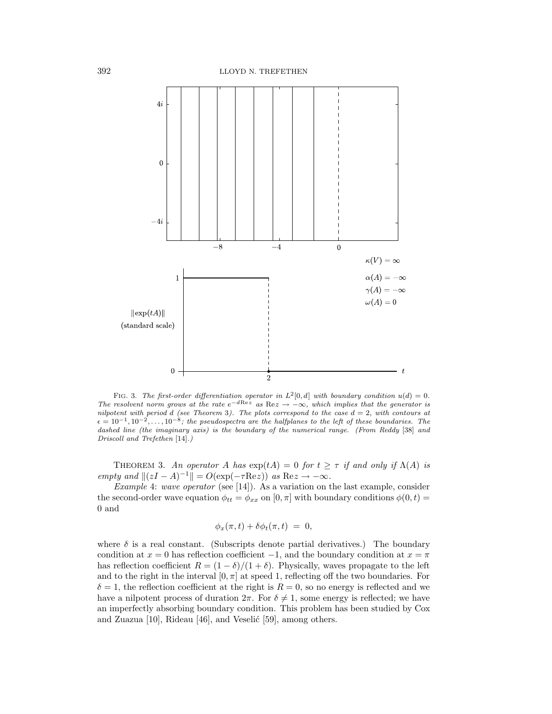

FIG. 3. The first-order differentiation operator in  $L^2[0, d]$  with boundary condition  $u(d)=0$ . The resolvent norm grows at the rate  $e^{-d\text{Re}z}$  as  $\text{Re}z \to -\infty$ , which implies that the generator is nilpotent with period d (see Theorem 3). The plots correspond to the case  $d = 2$ , with contours at = 10*−*1, 10*−*2,..., 10*−*8; the pseudospectra are the halfplanes to the left of these boundaries. The dashed line (the imaginary axis) is the boundary of the numerical range. (From Reddy [38] and Driscoll and Trefethen [14].)

THEOREM 3. An operator A has  $\exp(tA)=0$  for  $t \geq \tau$  if and only if  $\Lambda(A)$  is empty and  $||(zI - A)^{-1}|| = O(\exp(-\tau \text{Re} z))$  as Rez  $\rightarrow -\infty$ .

Example 4: wave operator (see [14]). As a variation on the last example, consider the second-order wave equation  $\phi_{tt} = \phi_{xx}$  on  $[0, \pi]$  with boundary conditions  $\phi(0, t) =$ 0 and

$$
\phi_x(\pi, t) + \delta \phi_t(\pi, t) = 0,
$$

where  $\delta$  is a real constant. (Subscripts denote partial derivatives.) The boundary condition at  $x = 0$  has reflection coefficient  $-1$ , and the boundary condition at  $x = \pi$ has reflection coefficient  $R = (1 - \delta)/(1 + \delta)$ . Physically, waves propagate to the left and to the right in the interval  $[0, \pi]$  at speed 1, reflecting off the two boundaries. For  $\delta = 1$ , the reflection coefficient at the right is  $R = 0$ , so no energy is reflected and we have a nilpotent process of duration  $2\pi$ . For  $\delta \neq 1$ , some energy is reflected; we have an imperfectly absorbing boundary condition. This problem has been studied by Cox and Zuazua  $[10]$ , Rideau  $[46]$ , and Veselić  $[59]$ , among others.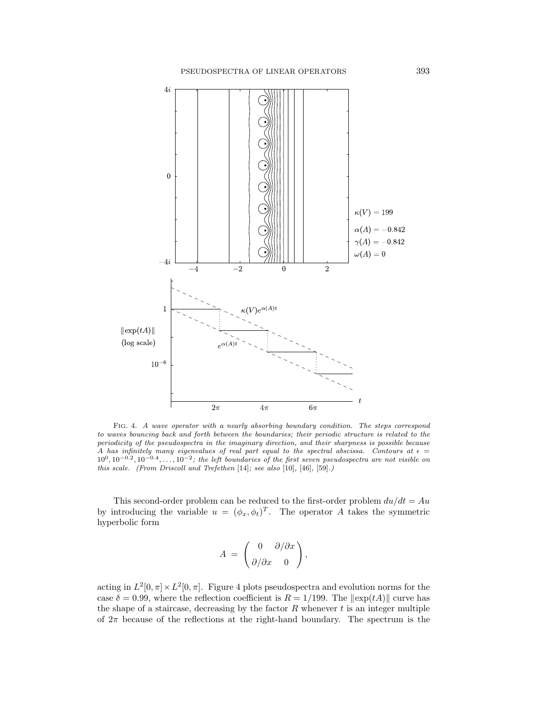

FIG. 4. A wave operator with a nearly absorbing boundary condition. The steps correspond to waves bouncing back and forth between the boundaries; their periodic structure is related to the periodicity of the pseudospectra in the imaginary direction, and their sharpness is possible because A has infinitely many eigenvalues of real part equal to the spectral abscissa. Contours at  $\epsilon =$ 100, 10*−*0.2, 10*−*0.4,..., 10*−*2; the left boundaries of the first seven pseudospectra are not visible on this scale. (From Driscoll and Trefethen [14]; see also [10], [46], [59].)

This second-order problem can be reduced to the first-order problem  $du/dt = Au$ by introducing the variable  $u = (\phi_x, \phi_t)^T$ . The operator A takes the symmetric hyperbolic form

$$
A = \begin{pmatrix} 0 & \partial/\partial x \\ \partial/\partial x & 0 \end{pmatrix},
$$

acting in  $L^2[0, \pi] \times L^2[0, \pi]$ . Figure 4 plots pseudospectra and evolution norms for the case  $\delta = 0.99$ , where the reflection coefficient is  $R = 1/199$ . The  $\|\exp(tA)\|$  curve has the shape of a staircase, decreasing by the factor  $R$  whenever  $t$  is an integer multiple of  $2\pi$  because of the reflections at the right-hand boundary. The spectrum is the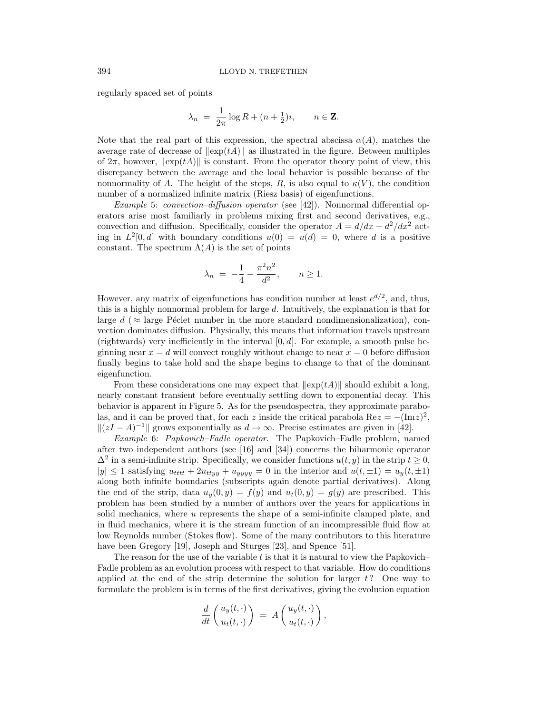regularly spaced set of points

$$
\lambda_n = \frac{1}{2\pi} \log R + (n + \frac{1}{2})i, \qquad n \in \mathbf{Z}.
$$

Note that the real part of this expression, the spectral abscissa  $\alpha(A)$ , matches the average rate of decrease of  $\Vert \exp(tA) \Vert$  as illustrated in the figure. Between multiples of  $2\pi$ , however,  $\Vert \exp(tA) \Vert$  is constant. From the operator theory point of view, this discrepancy between the average and the local behavior is possible because of the nonnormality of A. The height of the steps, R, is also equal to  $\kappa(V)$ , the condition number of a normalized infinite matrix (Riesz basis) of eigenfunctions.

Example 5: convection–diffusion operator (see [42]). Nonnormal differential operators arise most familiarly in problems mixing first and second derivatives, e.g., convection and diffusion. Specifically, consider the operator  $A = d/dx + d^2/dx^2$  acting in  $L^2[0, d]$  with boundary conditions  $u(0) = u(d) = 0$ , where d is a positive constant. The spectrum  $\Lambda(A)$  is the set of points

$$
\lambda_n = -\frac{1}{4} - \frac{\pi^2 n^2}{d^2}, \quad n \ge 1.
$$

However, any matrix of eigenfunctions has condition number at least  $e^{d/2}$ , and, thus, this is a highly nonnormal problem for large d. Intuitively, the explanation is that for large  $d \approx$  large Péclet number in the more standard nondimensionalization), convection dominates diffusion. Physically, this means that information travels upstream (rightwards) very inefficiently in the interval  $[0, d]$ . For example, a smooth pulse beginning near  $x = d$  will convect roughly without change to near  $x = 0$  before diffusion finally begins to take hold and the shape begins to change to that of the dominant eigenfunction.

From these considerations one may expect that  $\|\exp(tA)\|$  should exhibit a long, nearly constant transient before eventually settling down to exponential decay. This behavior is apparent in Figure 5. As for the pseudospectra, they approximate parabolas, and it can be proved that, for each z inside the critical parabola Re $z = -(Imz)^2$ ,  $\|(zI - A)^{-1}\|$  grows exponentially as  $d \to \infty$ . Precise estimates are given in [42].

Example 6: Papkovich–Fadle operator. The Papkovich–Fadle problem, named after two independent authors (see [16] and [34]) concerns the biharmonic operator  $\Delta^2$  in a semi-infinite strip. Specifically, we consider functions  $u(t, y)$  in the strip  $t \geq 0$ ,  $|y| \leq 1$  satisfying  $u_{tttt} + 2u_{ttyy} + u_{yyy} = 0$  in the interior and  $u(t, \pm 1) = u_y(t, \pm 1)$ along both infinite boundaries (subscripts again denote partial derivatives). Along the end of the strip, data  $u_y(0, y) = f(y)$  and  $u_t(0, y) = g(y)$  are prescribed. This problem has been studied by a number of authors over the years for applications in solid mechanics, where u represents the shape of a semi-infinite clamped plate, and in fluid mechanics, where it is the stream function of an incompressible fluid flow at low Reynolds number (Stokes flow). Some of the many contributors to this literature have been Gregory [19], Joseph and Sturges [23], and Spence [51].

The reason for the use of the variable  $t$  is that it is natural to view the Papkovich– Fadle problem as an evolution process with respect to that variable. How do conditions applied at the end of the strip determine the solution for larger  $t$ ? One way to formulate the problem is in terms of the first derivatives, giving the evolution equation

$$
\frac{d}{dt}\begin{pmatrix}u_y(t,\cdot)\\u_t(t,\cdot)\end{pmatrix} = A\begin{pmatrix}u_y(t,\cdot)\\u_t(t,\cdot)\end{pmatrix},
$$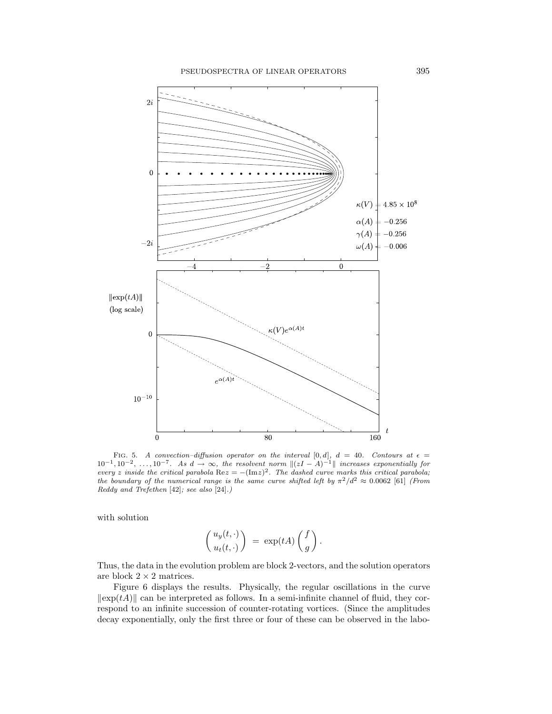

FIG. 5. A convection–diffusion operator on the interval  $[0, d]$ ,  $d = 40$ . Contours at  $\epsilon =$  $10^{-1}, 10^{-2}, \ldots, 10^{-7}$ . As  $d \to \infty$ , the resolvent norm  $\|(zI - A)^{-1}\|$  increases exponentially for every z inside the critical parabola  $\text{Re} z = -(\text{Im} z)^2$ . The dashed curve marks this critical parabola; the boundary of the numerical range is the same curve shifted left by  $\pi^2/d^2 \approx 0.0062$  [61] (From Reddy and Trefethen [42]; see also [24].)

with solution

$$
\begin{pmatrix} u_y(t, \cdot) \\ u_t(t, \cdot) \end{pmatrix} = \exp(tA) \begin{pmatrix} f \\ g \end{pmatrix}.
$$

Thus, the data in the evolution problem are block 2-vectors, and the solution operators are block  $2\times 2$  matrices.

Figure 6 displays the results. Physically, the regular oscillations in the curve  $\|\exp(tA)\|$  can be interpreted as follows. In a semi-infinite channel of fluid, they correspond to an infinite succession of counter-rotating vortices. (Since the amplitudes decay exponentially, only the first three or four of these can be observed in the labo-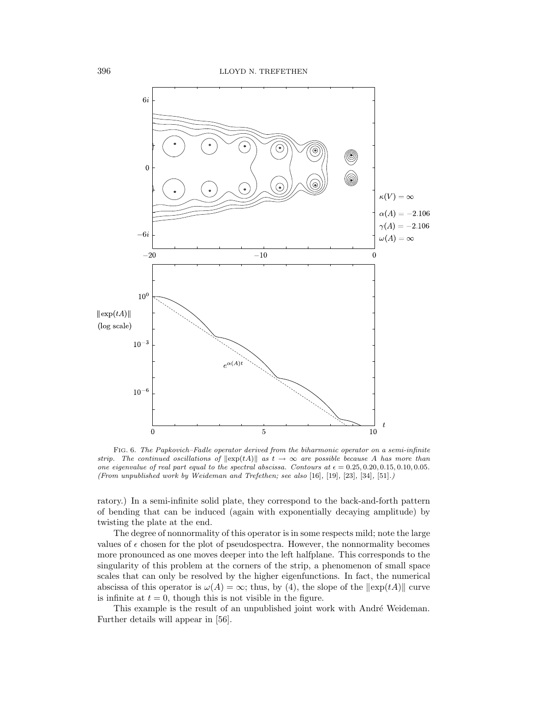

FIG. 6. The Papkovich–Fadle operator derived from the biharmonic operator on a semi-infinite strip. The continued oscillations of  $\|\exp(tA)\|$  as  $t \to \infty$  are possible because A has more than one eigenvalue of real part equal to the spectral abscissa. Contours at  $\epsilon = 0.25, 0.20, 0.15, 0.10, 0.05$ . (From unpublished work by Weideman and Trefethen; see also [16], [19], [23], [34], [51].)

ratory.) In a semi-infinite solid plate, they correspond to the back-and-forth pattern of bending that can be induced (again with exponentially decaying amplitude) by twisting the plate at the end.

The degree of nonnormality of this operator is in some respects mild; note the large values of  $\epsilon$  chosen for the plot of pseudospectra. However, the nonnormality becomes more pronounced as one moves deeper into the left halfplane. This corresponds to the singularity of this problem at the corners of the strip, a phenomenon of small space scales that can only be resolved by the higher eigenfunctions. In fact, the numerical abscissa of this operator is  $\omega(A) = \infty$ ; thus, by (4), the slope of the  $\|\exp(tA)\|$  curve is infinite at  $t = 0$ , though this is not visible in the figure.

This example is the result of an unpublished joint work with André Weideman. Further details will appear in [56].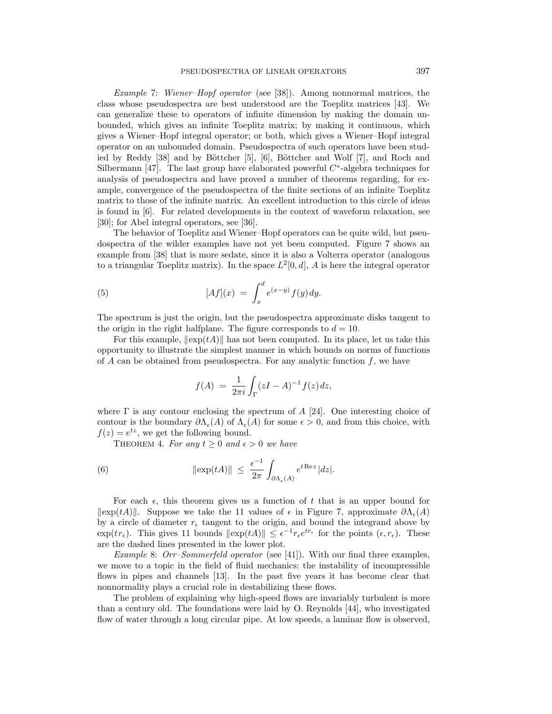Example 7: Wiener–Hopf operator (see [38]). Among nonnormal matrices, the class whose pseudospectra are best understood are the Toeplitz matrices [43]. We can generalize these to operators of infinite dimension by making the domain unbounded, which gives an infinite Toeplitz matrix; by making it continuous, which gives a Wiener–Hopf integral operator; or both, which gives a Wiener–Hopf integral operator on an unbounded domain. Pseudospectra of such operators have been studied by Reddy [38] and by Böttcher [5], [6], Böttcher and Wolf [7], and Roch and Silbermann [47]. The last group have elaborated powerful C*∗*-algebra techniques for analysis of pseudospectra and have proved a number of theorems regarding, for example, convergence of the pseudospectra of the finite sections of an infinite Toeplitz matrix to those of the infinite matrix. An excellent introduction to this circle of ideas is found in [6]. For related developments in the context of waveform relaxation, see [30]; for Abel integral operators, see [36].

The behavior of Toeplitz and Wiener–Hopf operators can be quite wild, but pseudospectra of the wilder examples have not yet been computed. Figure 7 shows an example from [38] that is more sedate, since it is also a Volterra operator (analogous to a triangular Toeplitz matrix). In the space  $L^2[0, d]$ , A is here the integral operator

(5) 
$$
[Af](x) = \int_x^d e^{(x-y)} f(y) dy.
$$

The spectrum is just the origin, but the pseudospectra approximate disks tangent to the origin in the right halfplane. The figure corresponds to  $d = 10$ .

For this example,  $\|\exp(tA)\|$  has not been computed. In its place, let us take this opportunity to illustrate the simplest manner in which bounds on norms of functions of  $A$  can be obtained from pseudospectra. For any analytic function  $f$ , we have

$$
f(A) = \frac{1}{2\pi i} \int_{\Gamma} (zI - A)^{-1} f(z) dz,
$$

where  $\Gamma$  is any contour enclosing the spectrum of A [24]. One interesting choice of contour is the boundary  $\partial \Lambda_{\epsilon}(A)$  of  $\Lambda_{\epsilon}(A)$  for some  $\epsilon > 0$ , and from this choice, with  $f(z) = e^{iz}$ , we get the following bound.

THEOREM 4. For any  $t \geq 0$  and  $\epsilon > 0$  we have

(6) 
$$
\|\exp(tA)\| \leq \frac{\epsilon^{-1}}{2\pi} \int_{\partial \Lambda_{\epsilon}(A)} e^{t \operatorname{Re} z} |dz|.
$$

For each  $\epsilon$ , this theorem gives us a function of t that is an upper bound for  $\|\exp(tA)\|$ . Suppose we take the 11 values of  $\epsilon$  in Figure 7, approximate  $\partial \Lambda(\mathcal{A})$ by a circle of diameter  $r_{\epsilon}$  tangent to the origin, and bound the integrand above by  $\exp(tr_{\epsilon})$ . This gives 11 bounds  $\|\exp(tA)\| \leq \epsilon^{-1}r_{\epsilon}e^{tr_{\epsilon}}$  for the points  $(\epsilon, r_{\epsilon})$ . These are the dashed lines presented in the lower plot.

Example 8: Orr–Sommerfeld operator (see [41]). With our final three examples, we move to a topic in the field of fluid mechanics: the instability of incompressible flows in pipes and channels [13]. In the past five years it has become clear that nonnormality plays a crucial role in destabilizing these flows.

The problem of explaining why high-speed flows are invariably turbulent is more than a century old. The foundations were laid by O. Reynolds [44], who investigated flow of water through a long circular pipe. At low speeds, a laminar flow is observed,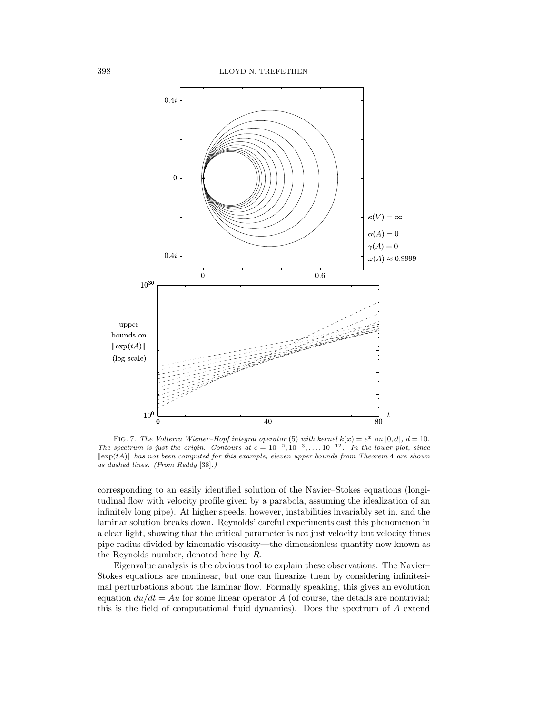

FIG. 7. The Volterra Wiener–Hopf integral operator (5) with kernel  $k(x) = e^x$  on  $[0, d]$ ,  $d = 10$ . The spectrum is just the origin. Contours at  $\epsilon = 10^{-2}, 10^{-3}, \ldots, 10^{-12}$ . In the lower plot, since  $\left\Vert \exp(tA)\right\Vert$  has not been computed for this example, eleven upper bounds from Theorem 4 are shown as dashed lines. (From Reddy [38].)

corresponding to an easily identified solution of the Navier–Stokes equations (longitudinal flow with velocity profile given by a parabola, assuming the idealization of an infinitely long pipe). At higher speeds, however, instabilities invariably set in, and the laminar solution breaks down. Reynolds' careful experiments cast this phenomenon in a clear light, showing that the critical parameter is not just velocity but velocity times pipe radius divided by kinematic viscosity—the dimensionless quantity now known as the Reynolds number, denoted here by R.

Eigenvalue analysis is the obvious tool to explain these observations. The Navier– Stokes equations are nonlinear, but one can linearize them by considering infinitesimal perturbations about the laminar flow. Formally speaking, this gives an evolution equation  $du/dt = Au$  for some linear operator A (of course, the details are nontrivial; this is the field of computational fluid dynamics). Does the spectrum of A extend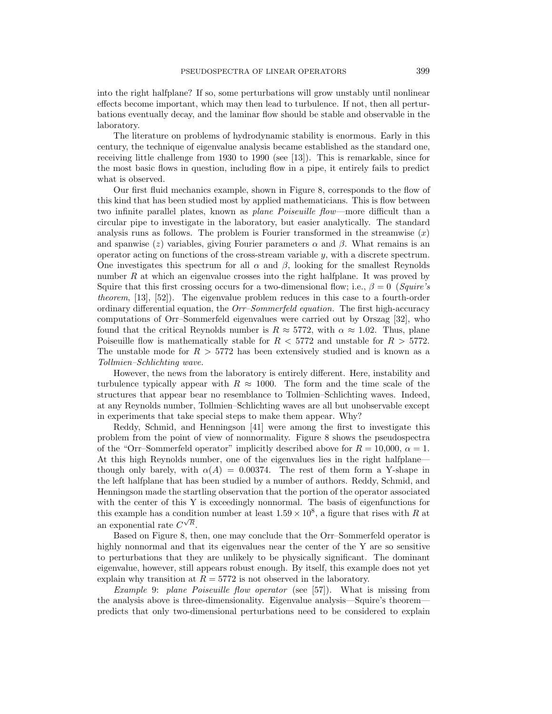into the right halfplane? If so, some perturbations will grow unstably until nonlinear effects become important, which may then lead to turbulence. If not, then all perturbations eventually decay, and the laminar flow should be stable and observable in the laboratory.

The literature on problems of hydrodynamic stability is enormous. Early in this century, the technique of eigenvalue analysis became established as the standard one, receiving little challenge from 1930 to 1990 (see [13]). This is remarkable, since for the most basic flows in question, including flow in a pipe, it entirely fails to predict what is observed.

Our first fluid mechanics example, shown in Figure 8, corresponds to the flow of this kind that has been studied most by applied mathematicians. This is flow between two infinite parallel plates, known as *plane Poiseuille flow*—more difficult than a circular pipe to investigate in the laboratory, but easier analytically. The standard analysis runs as follows. The problem is Fourier transformed in the streamwise  $(x)$ and spanwise (z) variables, giving Fourier parameters  $\alpha$  and  $\beta$ . What remains is an operator acting on functions of the cross-stream variable  $y$ , with a discrete spectrum. One investigates this spectrum for all  $\alpha$  and  $\beta$ , looking for the smallest Reynolds number  $R$  at which an eigenvalue crosses into the right halfplane. It was proved by Squire that this first crossing occurs for a two-dimensional flow; i.e.,  $\beta = 0$  (Squire's theorem, [13], [52]). The eigenvalue problem reduces in this case to a fourth-order ordinary differential equation, the Orr–Sommerfeld equation. The first high-accuracy computations of Orr–Sommerfeld eigenvalues were carried out by Orszag [32], who found that the critical Reynolds number is  $R \approx 5772$ , with  $\alpha \approx 1.02$ . Thus, plane Poiseuille flow is mathematically stable for  $R < 5772$  and unstable for  $R > 5772$ . The unstable mode for  $R > 5772$  has been extensively studied and is known as a Tollmien–Schlichting wave.

However, the news from the laboratory is entirely different. Here, instability and turbulence typically appear with  $R \approx 1000$ . The form and the time scale of the structures that appear bear no resemblance to Tollmien–Schlichting waves. Indeed, at any Reynolds number, Tollmien–Schlichting waves are all but unobservable except in experiments that take special steps to make them appear. Why?

Reddy, Schmid, and Henningson [41] were among the first to investigate this problem from the point of view of nonnormality. Figure 8 shows the pseudospectra of the "Orr–Sommerfeld operator" implicitly described above for  $R = 10,000$ ,  $\alpha = 1$ . At this high Reynolds number, one of the eigenvalues lies in the right halfplane though only barely, with  $\alpha(A)=0.00374$ . The rest of them form a Y-shape in the left halfplane that has been studied by a number of authors. Reddy, Schmid, and Henningson made the startling observation that the portion of the operator associated with the center of this Y is exceedingly nonnormal. The basis of eigenfunctions for this example has a condition number at least  $1.59 \times 10^8$ , a figure that rises with R at an exponential rate  $C^{\sqrt{R}}$ .

Based on Figure 8, then, one may conclude that the Orr–Sommerfeld operator is highly nonnormal and that its eigenvalues near the center of the Y are so sensitive to perturbations that they are unlikely to be physically significant. The dominant eigenvalue, however, still appears robust enough. By itself, this example does not yet explain why transition at  $R = 5772$  is not observed in the laboratory.

Example 9: plane Poiseuille flow operator (see [57]). What is missing from the analysis above is three-dimensionality. Eigenvalue analysis—Squire's theorem predicts that only two-dimensional perturbations need to be considered to explain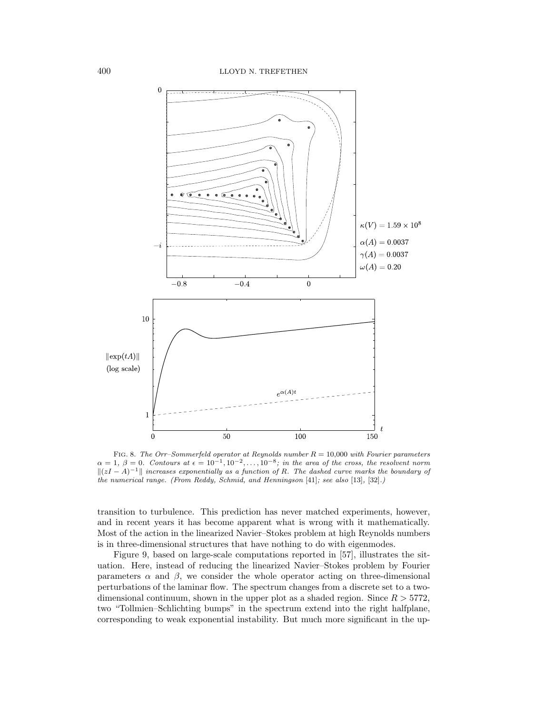

FIG. 8. The Orr–Sommerfeld operator at Reynolds number  $R = 10,000$  with Fourier parameters  $\alpha = 1, \beta = 0$ . Contours at  $\epsilon = 10^{-1}, 10^{-2}, \ldots, 10^{-8}$ ; in the area of the cross, the resolvent norm  $\|zI - A\|$ <sup>-1</sup> *k* increases exponentially as a function of R. The dashed curve marks the boundary of the numerical range. (From Reddy, Schmid, and Henningson [41]; see also [13], [32].)

transition to turbulence. This prediction has never matched experiments, however, and in recent years it has become apparent what is wrong with it mathematically. Most of the action in the linearized Navier–Stokes problem at high Reynolds numbers is in three-dimensional structures that have nothing to do with eigenmodes.

Figure 9, based on large-scale computations reported in [57], illustrates the situation. Here, instead of reducing the linearized Navier–Stokes problem by Fourier parameters  $\alpha$  and  $\beta$ , we consider the whole operator acting on three-dimensional perturbations of the laminar flow. The spectrum changes from a discrete set to a twodimensional continuum, shown in the upper plot as a shaded region. Since  $R > 5772$ , two "Tollmien–Schlichting bumps" in the spectrum extend into the right halfplane, corresponding to weak exponential instability. But much more significant in the up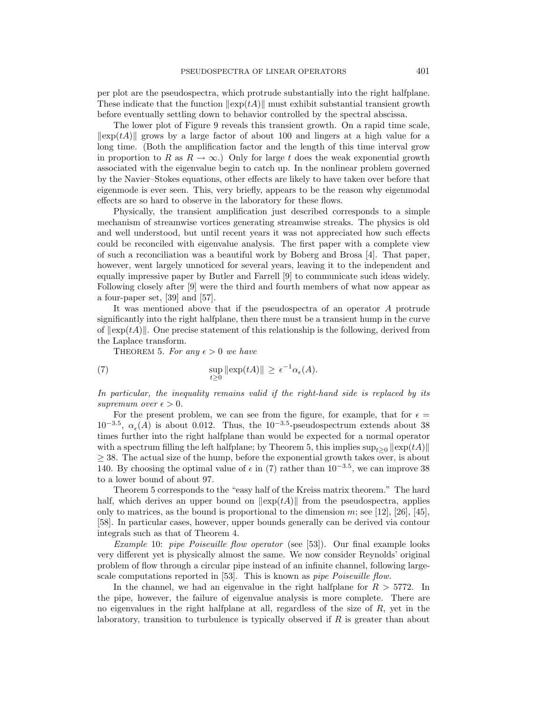per plot are the pseudospectra, which protrude substantially into the right halfplane. These indicate that the function  $\Vert \exp(tA) \Vert$  must exhibit substantial transient growth before eventually settling down to behavior controlled by the spectral abscissa.

The lower plot of Figure 9 reveals this transient growth. On a rapid time scale,  $\|\exp(tA)\|$  grows by a large factor of about 100 and lingers at a high value for a long time. (Both the amplification factor and the length of this time interval grow in proportion to R as  $R \to \infty$ .) Only for large t does the weak exponential growth associated with the eigenvalue begin to catch up. In the nonlinear problem governed by the Navier–Stokes equations, other effects are likely to have taken over before that eigenmode is ever seen. This, very briefly, appears to be the reason why eigenmodal effects are so hard to observe in the laboratory for these flows.

Physically, the transient amplification just described corresponds to a simple mechanism of streamwise vortices generating streamwise streaks. The physics is old and well understood, but until recent years it was not appreciated how such effects could be reconciled with eigenvalue analysis. The first paper with a complete view of such a reconciliation was a beautiful work by Boberg and Brosa [4]. That paper, however, went largely unnoticed for several years, leaving it to the independent and equally impressive paper by Butler and Farrell [9] to communicate such ideas widely. Following closely after [9] were the third and fourth members of what now appear as a four-paper set, [39] and [57].

It was mentioned above that if the pseudospectra of an operator A protrude significantly into the right halfplane, then there must be a transient hump in the curve of  $\|\exp(tA)\|$ . One precise statement of this relationship is the following, derived from the Laplace transform.

THEOREM 5. For any  $\epsilon > 0$  we have

(7) 
$$
\sup_{t\geq 0} \|\exp(tA)\| \geq \epsilon^{-1} \alpha_{\epsilon}(A).
$$

In particular, the inequality remains valid if the right-hand side is replaced by its supremum over  $\epsilon > 0$ .

For the present problem, we can see from the figure, for example, that for  $\epsilon$  =  $10^{-3.5}$ ,  $\alpha_{\epsilon}(A)$  is about 0.012. Thus, the  $10^{-3.5}$ -pseudospectrum extends about 38 times further into the right halfplane than would be expected for a normal operator with a spectrum filling the left halfplane; by Theorem 5, this implies  $\sup_{t>0} ||\exp(tA)||$ 2 38. The actual size of the hump, before the exponential growth takes over, is about 140. By choosing the optimal value of  $\epsilon$  in (7) rather than 10<sup>−3.5</sup>, we can improve 38 to a lower bound of about 97.

Theorem 5 corresponds to the "easy half of the Kreiss matrix theorem." The hard half, which derives an upper bound on  $\|\exp(tA)\|$  from the pseudospectra, applies only to matrices, as the bound is proportional to the dimension  $m$ ; see [12], [26], [45], [58]. In particular cases, however, upper bounds generally can be derived via contour integrals such as that of Theorem 4.

Example 10: pipe Poiseuille flow operator (see [53]). Our final example looks very different yet is physically almost the same. We now consider Reynolds' original problem of flow through a circular pipe instead of an infinite channel, following largescale computations reported in [53]. This is known as *pipe Poiseuille flow*.

In the channel, we had an eigenvalue in the right halfplane for  $R > 5772$ . In the pipe, however, the failure of eigenvalue analysis is more complete. There are no eigenvalues in the right halfplane at all, regardless of the size of  $R$ , yet in the laboratory, transition to turbulence is typically observed if R is greater than about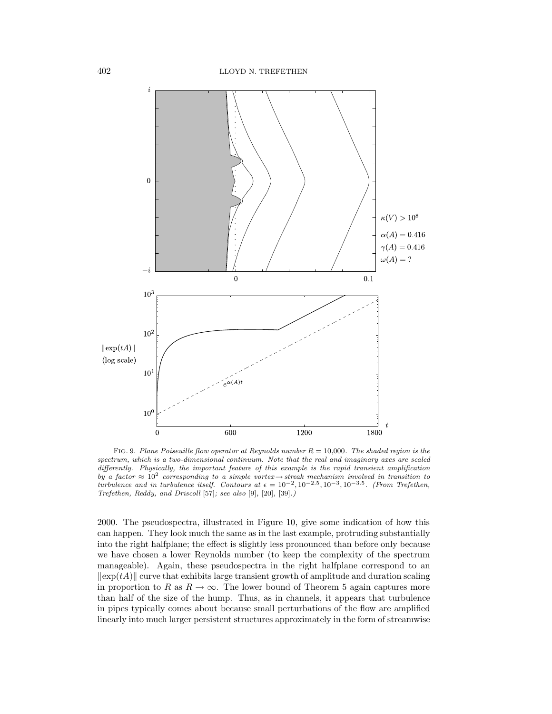

FIG. 9. Plane Poiseuille flow operator at Reynolds number  $R = 10,000$ . The shaded region is the spectrum, which is a two-dimensional continuum. Note that the real and imaginary axes are scaled differently. Physically, the important feature of this example is the rapid transient amplification by a factor  $\approx 10^2$  corresponding to a simple vortex  $\rightarrow$  streak mechanism involved in transition to turbulence and in turbulence itself. Contours at  $\epsilon = 10^{-2}, 10^{-2.5}, 10^{-3}, 10^{-3.5}$ . (From Trefethen, Trefethen, Reddy, and Driscoll [57]; see also [9], [20], [39].)

2000. The pseudospectra, illustrated in Figure 10, give some indication of how this can happen. They look much the same as in the last example, protruding substantially into the right halfplane; the effect is slightly less pronounced than before only because we have chosen a lower Reynolds number (to keep the complexity of the spectrum manageable). Again, these pseudospectra in the right halfplane correspond to an  $\|\exp(tA)\|$  curve that exhibits large transient growth of amplitude and duration scaling in proportion to R as  $R \to \infty$ . The lower bound of Theorem 5 again captures more than half of the size of the hump. Thus, as in channels, it appears that turbulence in pipes typically comes about because small perturbations of the flow are amplified linearly into much larger persistent structures approximately in the form of streamwise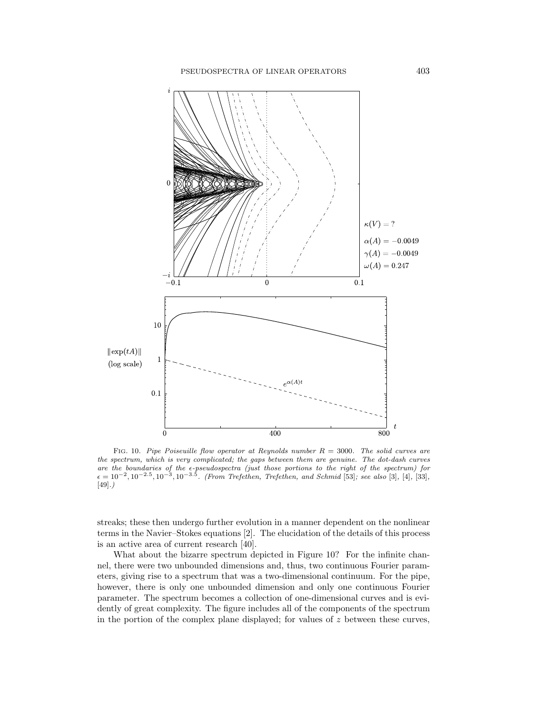

FIG. 10. Pipe Poiseuille flow operator at Reynolds number  $R = 3000$ . The solid curves are the spectrum, which is very complicated; the gaps between them are genuine. The dot-dash curves are the boundaries of the  $\epsilon$ -pseudospectra (just those portions to the right of the spectrum) for = 10*−*2, 10*−*2.5, 10*−*3, 10*−*3.5. (From Trefethen, Trefethen, and Schmid [53]; see also [3], [4], [33], [49].)

streaks; these then undergo further evolution in a manner dependent on the nonlinear terms in the Navier–Stokes equations [2]. The elucidation of the details of this process is an active area of current research [40].

What about the bizarre spectrum depicted in Figure 10? For the infinite channel, there were two unbounded dimensions and, thus, two continuous Fourier parameters, giving rise to a spectrum that was a two-dimensional continuum. For the pipe, however, there is only one unbounded dimension and only one continuous Fourier parameter. The spectrum becomes a collection of one-dimensional curves and is evidently of great complexity. The figure includes all of the components of the spectrum in the portion of the complex plane displayed; for values of  $z$  between these curves,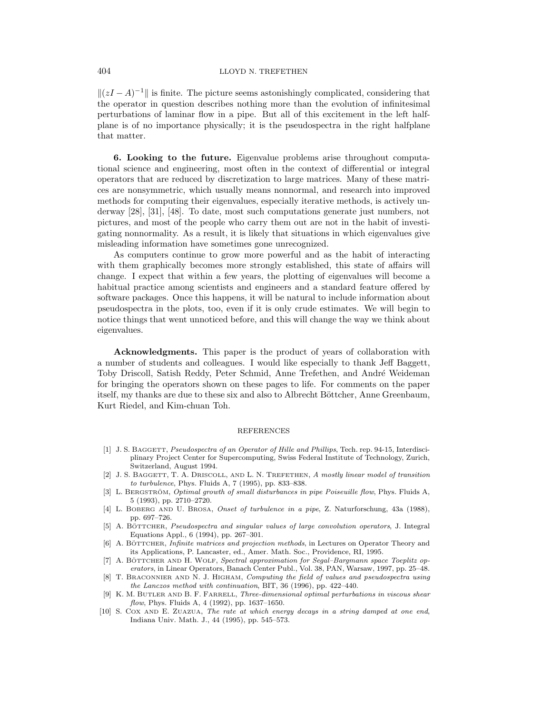$\|zI - A\|$ <sup>-1</sup><sup>k</sup> is finite. The picture seems astonishingly complicated, considering that the operator in question describes nothing more than the evolution of infinitesimal perturbations of laminar flow in a pipe. But all of this excitement in the left halfplane is of no importance physically; it is the pseudospectra in the right halfplane that matter.

**6. Looking to the future.** Eigenvalue problems arise throughout computational science and engineering, most often in the context of differential or integral operators that are reduced by discretization to large matrices. Many of these matrices are nonsymmetric, which usually means nonnormal, and research into improved methods for computing their eigenvalues, especially iterative methods, is actively underway [28], [31], [48]. To date, most such computations generate just numbers, not pictures, and most of the people who carry them out are not in the habit of investigating nonnormality. As a result, it is likely that situations in which eigenvalues give misleading information have sometimes gone unrecognized.

As computers continue to grow more powerful and as the habit of interacting with them graphically becomes more strongly established, this state of affairs will change. I expect that within a few years, the plotting of eigenvalues will become a habitual practice among scientists and engineers and a standard feature offered by software packages. Once this happens, it will be natural to include information about pseudospectra in the plots, too, even if it is only crude estimates. We will begin to notice things that went unnoticed before, and this will change the way we think about eigenvalues.

**Acknowledgments.** This paper is the product of years of collaboration with a number of students and colleagues. I would like especially to thank Jeff Baggett, Toby Driscoll, Satish Reddy, Peter Schmid, Anne Trefethen, and André Weideman for bringing the operators shown on these pages to life. For comments on the paper itself, my thanks are due to these six and also to Albrecht Böttcher, Anne Greenbaum, Kurt Riedel, and Kim-chuan Toh.

## REFERENCES

- [1] J. S. BAGGETT, Pseudospectra of an Operator of Hille and Phillips, Tech. rep. 94-15, Interdisciplinary Project Center for Supercomputing, Swiss Federal Institute of Technology, Zurich, Switzerland, August 1994.
- [2] J. S. BAGGETT, T. A. DRISCOLL, AND L. N. TREFETHEN, A mostly linear model of transition to turbulence, Phys. Fluids A, 7 (1995), pp. 833–838.
- [3] L. BERGSTRÖM, Optimal growth of small disturbances in pipe Poiseuille flow, Phys. Fluids A, 5 (1993), pp. 2710–2720.
- [4] L. BOBERG AND U. BROSA, Onset of turbulence in a pipe, Z. Naturforschung, 43a (1988), pp. 697–726.
- [5] A. BÖTTCHER, Pseudospectra and singular values of large convolution operators, J. Integral Equations Appl., 6 (1994), pp. 267–301.
- [6] A. BÖTTCHER, *Infinite matrices and projection methods*, in Lectures on Operator Theory and its Applications, P. Lancaster, ed., Amer. Math. Soc., Providence, RI, 1995.
- [7] A. BÖTTCHER AND H. WOLF, Spectral approximation for Segal–Bargmann space Toeplitz operators, in Linear Operators, Banach Center Publ., Vol. 38, PAN, Warsaw, 1997, pp. 25–48.
- [8] T. BRACONNIER AND N. J. HIGHAM, Computing the field of values and pseudospectra using the Lanczos method with continuation, BIT, 36 (1996), pp. 422–440.
- [9] K. M. BUTLER AND B. F. FARRELL, Three-dimensional optimal perturbations in viscous shear flow, Phys. Fluids A, 4 (1992), pp. 1637-1650.
- [10] S. COX AND E. ZUAZUA, The rate at which energy decays in a string damped at one end, Indiana Univ. Math. J., 44 (1995), pp. 545–573.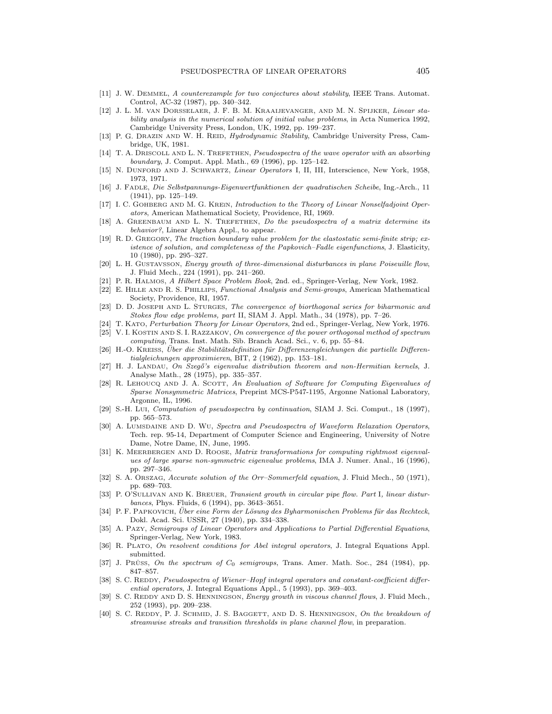- [11] J. W. DEMMEL, A counterexample for two conjectures about stability, IEEE Trans. Automat. Control, AC-32 (1987), pp. 340–342.
- [12] J. L. M. VAN DORSSELAER, J. F. B. M. KRAAIJEVANGER, AND M. N. SPIJKER, Linear stability analysis in the numerical solution of initial value problems, in Acta Numerica 1992, Cambridge University Press, London, UK, 1992, pp. 199–237.
- [13] P. G. DRAZIN AND W. H. REID, Hydrodynamic Stability, Cambridge University Press, Cambridge, UK, 1981.
- [14] T. A. DRISCOLL AND L. N. TREFETHEN, Pseudospectra of the wave operator with an absorbing boundary, J. Comput. Appl. Math., 69 (1996), pp. 125–142.
- [15] N. DUNFORD AND J. SCHWARTZ, Linear Operators I, II, III, Interscience, New York, 1958, 1973, 1971.
- [16] J. FADLE, Die Selbstpannungs-Eigenwertfunktionen der quadratischen Scheibe, Ing.-Arch., 11 (1941), pp. 125–149.
- [17] I. C. GOHBERG AND M. G. KREïN, Introduction to the Theory of Linear Nonselfadjoint Operators, American Mathematical Society, Providence, RI, 1969.
- [18] A. GREENBAUM AND L. N. TREFETHEN, Do the pseudospectra of a matrix determine its behavior?, Linear Algebra Appl., to appear.
- [19] R. D. GREGORY, The traction boundary value problem for the elastostatic semi-finite strip; existence of solution, and completeness of the Papkovich–Fadle eigenfunctions, J. Elasticity, 10 (1980), pp. 295–327.
- [20] L. H. GUSTAVSSON, Energy growth of three-dimensional disturbances in plane Poiseuille flow, J. Fluid Mech., 224 (1991), pp. 241–260.
- [21] P. R. HALMOS, A Hilbert Space Problem Book, 2nd. ed., Springer-Verlag, New York, 1982.
- [22] E. HILLE AND R. S. PHILLIPS, Functional Analysis and Semi-groups, American Mathematical Society, Providence, RI, 1957.
- [23] D. D. JOSEPH AND L. STURGES, The convergence of biorthogonal series for biharmonic and Stokes flow edge problems, part II, SIAM J. Appl. Math., 34 (1978), pp. 7–26.
- [24] T. KATO, Perturbation Theory for Linear Operators, 2nd ed., Springer-Verlag, New York, 1976. [25] V. I. KOSTIN AND S. I. RAZZAKOV, On convergence of the power orthogonal method of spectrum
- computing, Trans. Inst. Math. Sib. Branch Acad. Sci., v. 6, pp. 55–84. [26] H.-O. KREISS, Über die Stabilitätsdefinition für Differenzengleichungen die partielle Differentialgleichungen approximieren, BIT, 2 (1962), pp. 153–181.
- [27] H. J. LANDAU, On Szegő's eigenvalue distribution theorem and non-Hermitian kernels, J. Analyse Math., 28 (1975), pp. 335–357.
- [28] R. LEHOUCQ AND J. A. SCOTT, An Evaluation of Software for Computing Eigenvalues of Sparse Nonsymmetric Matrices, Preprint MCS-P547-1195, Argonne National Laboratory, Argonne, IL, 1996.
- [29] S.-H. LUI, Computation of pseudospectra by continuation, SIAM J. Sci. Comput., 18 (1997), pp. 565–573.
- [30] A. LUMSDAINE AND D. WU, Spectra and Pseudospectra of Waveform Relaxation Operators, Tech. rep. 95-14, Department of Computer Science and Engineering, University of Notre Dame, Notre Dame, IN, June, 1995.
- [31] K. MEERBERGEN AND D. ROOSE, Matrix transformations for computing rightmost eigenvalues of large sparse non-symmetric eigenvalue problems, IMA J. Numer. Anal., 16 (1996), pp. 297–346.
- [32] S. A. ORSZAG, Accurate solution of the Orr–Sommerfeld equation, J. Fluid Mech., 50 (1971), pp. 689–703.
- [33] P. O'SULLIVAN AND K. BREUER, Transient growth in circular pipe flow. Part I, linear disturbances, Phys. Fluids, 6 (1994), pp. 3643–3651.
- [34] P. F. PAPKOVICH, Über eine Form der Lösung des Byharmonischen Problems für das Rechteck, Dokl. Acad. Sci. USSR, 27 (1940), pp. 334–338.
- [35] A. PAZY, Semigroups of Linear Operators and Applications to Partial Differential Equations, Springer-Verlag, New York, 1983.
- [36] R. PLATO, On resolvent conditions for Abel integral operators, J. Integral Equations Appl. submitted.
- [37] J. PRÜSS, On the spectrum of  $C_0$  semigroups, Trans. Amer. Math. Soc., 284 (1984), pp. 847–857.
- [38] S. C. REDDY, Pseudospectra of Wiener-Hopf integral operators and constant-coefficient differential operators, J. Integral Equations Appl., 5 (1993), pp. 369–403.
- [39] S. C. REDDY AND D. S. HENNINGSON, *Energy growth in viscous channel flows*, J. Fluid Mech., 252 (1993), pp. 209–238.
- [40] S. C. REDDY, P. J. SCHMID, J. S. BAGGETT, AND D. S. HENNINGSON, On the breakdown of streamwise streaks and transition thresholds in plane channel flow, in preparation.